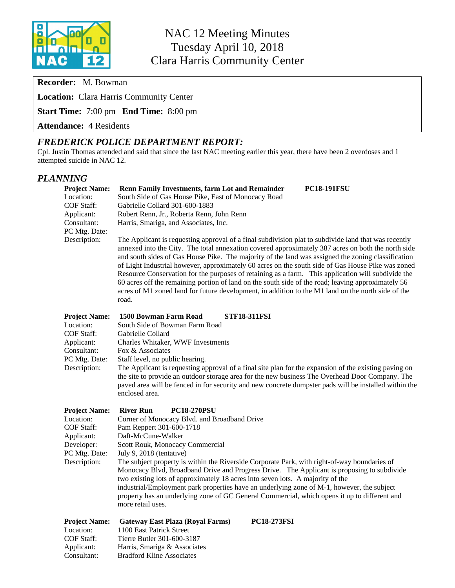

**Recorder:** M. Bowman

**Location:** Clara Harris Community Center

**Start Time:** 7:00 pm **End Time:** 8:00 pm

**Attendance:** 4 Residents

## *FREDERICK POLICE DEPARTMENT REPORT:*

Cpl. Justin Thomas attended and said that since the last NAC meeting earlier this year, there have been 2 overdoses and 1 attempted suicide in NAC 12.

#### *PLANNING*

| <b>Project Name:</b>                            | Renn Family Investments, farm Lot and Remainder<br><b>PC18-191FSU</b>                                                                                                                                                                                                                                                                                                                                                                                                                                                                                                                                                                                                                                                                            |  |  |  |  |
|-------------------------------------------------|--------------------------------------------------------------------------------------------------------------------------------------------------------------------------------------------------------------------------------------------------------------------------------------------------------------------------------------------------------------------------------------------------------------------------------------------------------------------------------------------------------------------------------------------------------------------------------------------------------------------------------------------------------------------------------------------------------------------------------------------------|--|--|--|--|
| Location:                                       | South Side of Gas House Pike, East of Monocacy Road                                                                                                                                                                                                                                                                                                                                                                                                                                                                                                                                                                                                                                                                                              |  |  |  |  |
| COF Staff:                                      | Gabrielle Collard 301-600-1883                                                                                                                                                                                                                                                                                                                                                                                                                                                                                                                                                                                                                                                                                                                   |  |  |  |  |
| Applicant:                                      | Robert Renn, Jr., Roberta Renn, John Renn                                                                                                                                                                                                                                                                                                                                                                                                                                                                                                                                                                                                                                                                                                        |  |  |  |  |
| Consultant:<br>PC Mtg. Date:                    | Harris, Smariga, and Associates, Inc.                                                                                                                                                                                                                                                                                                                                                                                                                                                                                                                                                                                                                                                                                                            |  |  |  |  |
| Description:                                    | The Applicant is requesting approval of a final subdivision plat to subdivide land that was recently<br>annexed into the City. The total annexation covered approximately 387 acres on both the north side<br>and south sides of Gas House Pike. The majority of the land was assigned the zoning classification<br>of Light Industrial however, approximately 60 acres on the south side of Gas House Pike was zoned<br>Resource Conservation for the purposes of retaining as a farm. This application will subdivide the<br>60 acres off the remaining portion of land on the south side of the road; leaving approximately 56<br>acres of M1 zoned land for future development, in addition to the M1 land on the north side of the<br>road. |  |  |  |  |
| <b>Project Name:</b>                            | 1500 Bowman Farm Road<br><b>STF18-311FSI</b>                                                                                                                                                                                                                                                                                                                                                                                                                                                                                                                                                                                                                                                                                                     |  |  |  |  |
| Location:                                       | South Side of Bowman Farm Road                                                                                                                                                                                                                                                                                                                                                                                                                                                                                                                                                                                                                                                                                                                   |  |  |  |  |
| COF Staff:                                      | Gabrielle Collard                                                                                                                                                                                                                                                                                                                                                                                                                                                                                                                                                                                                                                                                                                                                |  |  |  |  |
| Charles Whitaker, WWF Investments<br>Applicant: |                                                                                                                                                                                                                                                                                                                                                                                                                                                                                                                                                                                                                                                                                                                                                  |  |  |  |  |
| Consultant:                                     | Fox & Associates                                                                                                                                                                                                                                                                                                                                                                                                                                                                                                                                                                                                                                                                                                                                 |  |  |  |  |
| PC Mtg. Date:                                   | Staff level, no public hearing.                                                                                                                                                                                                                                                                                                                                                                                                                                                                                                                                                                                                                                                                                                                  |  |  |  |  |
| Description:                                    | The Applicant is requesting approval of a final site plan for the expansion of the existing paving on<br>the site to provide an outdoor storage area for the new business The Overhead Door Company. The<br>paved area will be fenced in for security and new concrete dumpster pads will be installed within the<br>enclosed area.                                                                                                                                                                                                                                                                                                                                                                                                              |  |  |  |  |
| <b>Project Name:</b>                            | <b>River Run</b><br><b>PC18-270PSU</b>                                                                                                                                                                                                                                                                                                                                                                                                                                                                                                                                                                                                                                                                                                           |  |  |  |  |
| Location:                                       | Corner of Monocacy Blvd. and Broadband Drive                                                                                                                                                                                                                                                                                                                                                                                                                                                                                                                                                                                                                                                                                                     |  |  |  |  |
| <b>COF Staff:</b>                               | Pam Reppert 301-600-1718                                                                                                                                                                                                                                                                                                                                                                                                                                                                                                                                                                                                                                                                                                                         |  |  |  |  |
| Applicant:                                      | Daft-McCune-Walker                                                                                                                                                                                                                                                                                                                                                                                                                                                                                                                                                                                                                                                                                                                               |  |  |  |  |
| Developer:                                      | Scott Rouk, Monocacy Commercial                                                                                                                                                                                                                                                                                                                                                                                                                                                                                                                                                                                                                                                                                                                  |  |  |  |  |
| PC Mtg. Date:                                   | July 9, 2018 (tentative)                                                                                                                                                                                                                                                                                                                                                                                                                                                                                                                                                                                                                                                                                                                         |  |  |  |  |
| Description:                                    | The subject property is within the Riverside Corporate Park, with right-of-way boundaries of                                                                                                                                                                                                                                                                                                                                                                                                                                                                                                                                                                                                                                                     |  |  |  |  |
|                                                 | Monocacy Blvd, Broadband Drive and Progress Drive. The Applicant is proposing to subdivide                                                                                                                                                                                                                                                                                                                                                                                                                                                                                                                                                                                                                                                       |  |  |  |  |
|                                                 | two existing lots of approximately 18 acres into seven lots. A majority of the<br>industrial/Employment park properties have an underlying zone of M-1, however, the subject                                                                                                                                                                                                                                                                                                                                                                                                                                                                                                                                                                     |  |  |  |  |
|                                                 | property has an underlying zone of GC General Commercial, which opens it up to different and                                                                                                                                                                                                                                                                                                                                                                                                                                                                                                                                                                                                                                                     |  |  |  |  |
|                                                 | more retail uses.                                                                                                                                                                                                                                                                                                                                                                                                                                                                                                                                                                                                                                                                                                                                |  |  |  |  |
|                                                 |                                                                                                                                                                                                                                                                                                                                                                                                                                                                                                                                                                                                                                                                                                                                                  |  |  |  |  |
| <b>Project Name:</b>                            | <b>PC18-273FSI</b><br><b>Gateway East Plaza (Royal Farms)</b>                                                                                                                                                                                                                                                                                                                                                                                                                                                                                                                                                                                                                                                                                    |  |  |  |  |
| Location:                                       | 1100 East Patrick Street                                                                                                                                                                                                                                                                                                                                                                                                                                                                                                                                                                                                                                                                                                                         |  |  |  |  |
| COF Staff:<br>Applicant:                        | Tierre Butler 301-600-3187<br>Harris, Smariga & Associates                                                                                                                                                                                                                                                                                                                                                                                                                                                                                                                                                                                                                                                                                       |  |  |  |  |
| Consultant:                                     | <b>Bradford Kline Associates</b>                                                                                                                                                                                                                                                                                                                                                                                                                                                                                                                                                                                                                                                                                                                 |  |  |  |  |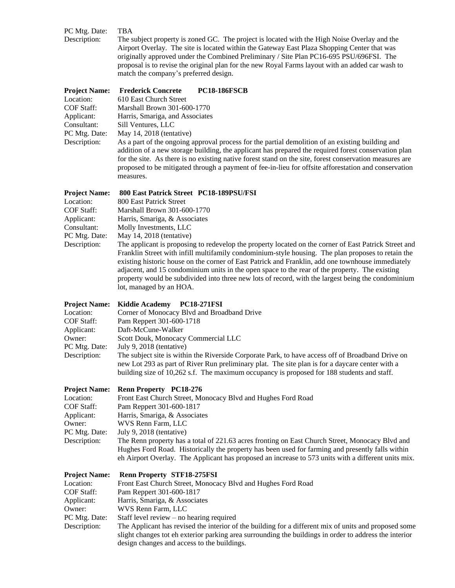| <b>Project Name:</b> | proposal is to revise the original plan for the new Royal Farms layout with an added car wash to<br>match the company's preferred design.<br><b>PC18-186FSCB</b><br><b>Frederick Concrete</b>                                                                                          |  |  |  |  |
|----------------------|----------------------------------------------------------------------------------------------------------------------------------------------------------------------------------------------------------------------------------------------------------------------------------------|--|--|--|--|
| Description:         | The subject property is zoned GC. The project is located with the High Noise Overlay and the<br>Airport Overlay. The site is located within the Gateway East Plaza Shopping Center that was<br>originally approved under the Combined Preliminary / Site Plan PC16-695 PSU/696FSI. The |  |  |  |  |
| PC Mtg. Date:        | TBA                                                                                                                                                                                                                                                                                    |  |  |  |  |

| Location:         | 610 East Church Street                                                                                                                                                                                                                                                                                                                                                                                                                   |  |  |  |  |
|-------------------|------------------------------------------------------------------------------------------------------------------------------------------------------------------------------------------------------------------------------------------------------------------------------------------------------------------------------------------------------------------------------------------------------------------------------------------|--|--|--|--|
| <b>COF Staff:</b> | Marshall Brown 301-600-1770                                                                                                                                                                                                                                                                                                                                                                                                              |  |  |  |  |
| Applicant:        | Harris, Smariga, and Associates                                                                                                                                                                                                                                                                                                                                                                                                          |  |  |  |  |
| Consultant:       | Sill Ventures, LLC                                                                                                                                                                                                                                                                                                                                                                                                                       |  |  |  |  |
| PC Mtg. Date:     | May 14, $2018$ (tentative)                                                                                                                                                                                                                                                                                                                                                                                                               |  |  |  |  |
| Description:      | As a part of the ongoing approval process for the partial demolition of an existing building and<br>addition of a new storage building, the applicant has prepared the required forest conservation plan<br>for the site. As there is no existing native forest stand on the site, forest conservation measures are<br>proposed to be mitigated through a payment of fee-in-lieu for offsite afforestation and conservation<br>measures. |  |  |  |  |
|                   |                                                                                                                                                                                                                                                                                                                                                                                                                                          |  |  |  |  |

| <b>Project Name:</b> | 800 East Patrick Street PC18-189PSU/FSI                                                               |  |  |  |  |  |
|----------------------|-------------------------------------------------------------------------------------------------------|--|--|--|--|--|
| Location:            | 800 East Patrick Street                                                                               |  |  |  |  |  |
| COF Staff:           | Marshall Brown 301-600-1770                                                                           |  |  |  |  |  |
| Applicant:           | Harris, Smariga, & Associates                                                                         |  |  |  |  |  |
| Consultant:          | Molly Investments, LLC                                                                                |  |  |  |  |  |
| PC Mtg. Date:        | May $14, 2018$ (tentative)                                                                            |  |  |  |  |  |
| Description:         | The applicant is proposing to redevelop the property located on the corner of East Patrick Street and |  |  |  |  |  |
|                      | Franklin Street with infill multifamily condominium-style housing. The plan proposes to retain the    |  |  |  |  |  |
|                      | existing historic house on the corner of East Patrick and Franklin, add one townhouse immediately     |  |  |  |  |  |
|                      | adjacent, and 15 condominium units in the open space to the rear of the property. The existing        |  |  |  |  |  |
|                      | property would be subdivided into three new lots of record, with the largest being the condominium    |  |  |  |  |  |
|                      | lot, managed by an HOA.                                                                               |  |  |  |  |  |

#### **Project Name: Kiddie Academy PC18-271FSI**

| Location:     | Corner of Monocacy Blvd and Broadband Drive                                                                                                                                                          |  |  |  |  |
|---------------|------------------------------------------------------------------------------------------------------------------------------------------------------------------------------------------------------|--|--|--|--|
| COF Staff:    | Pam Reppert 301-600-1718                                                                                                                                                                             |  |  |  |  |
| Applicant:    | Daft-McCune-Walker                                                                                                                                                                                   |  |  |  |  |
| Owner:        | Scott Douk, Monocacy Commercial LLC                                                                                                                                                                  |  |  |  |  |
| PC Mtg. Date: | July 9, 2018 (tentative)                                                                                                                                                                             |  |  |  |  |
| Description:  | The subject site is within the Riverside Corporate Park, to have access off of Broadband Drive on<br>new Lot 293 as part of River Run preliminary plat. The site plan is for a daycare center with a |  |  |  |  |
|               | building size of 10,262 s.f. The maximum occupancy is proposed for 188 students and staff.                                                                                                           |  |  |  |  |

#### **Project Name: Renn Property PC18-276**<br>Location: Front East Church Street. Mo Location: Front East Church Street, Monocacy Blvd and Hughes Ford Road<br>COF Staff: Pam Reppert 301-600-1817 Pam Reppert 301-600-1817 Applicant: Harris, Smariga, & Associates<br>
Owner: WVS Renn Farm, LLC WVS Renn Farm, LLC PC Mtg. Date: July 9, 2018 (tentative)<br>Description: The Renn property has a The Renn property has a total of 221.63 acres fronting on East Church Street, Monocacy Blvd and Hughes Ford Road. Historically the property has been used for farming and presently falls within eh Airport Overlay. The Applicant has proposed an increase to 573 units with a different units mix.

| <b>Project Name:</b> | <b>Renn Property STF18-275FSI</b>                                                                      |  |  |  |  |
|----------------------|--------------------------------------------------------------------------------------------------------|--|--|--|--|
| Location:            | Front East Church Street, Monocacy Blvd and Hughes Ford Road                                           |  |  |  |  |
| COF Staff:           | Pam Reppert 301-600-1817                                                                               |  |  |  |  |
| Applicant:           | Harris, Smariga, & Associates                                                                          |  |  |  |  |
| Owner:               | WVS Renn Farm, LLC                                                                                     |  |  |  |  |
| PC Mtg. Date:        | Staff level review $-$ no hearing required                                                             |  |  |  |  |
| Description:         | The Applicant has revised the interior of the building for a different mix of units and proposed some  |  |  |  |  |
|                      | slight changes tot eh exterior parking area surrounding the buildings in order to address the interior |  |  |  |  |
|                      | design changes and access to the buildings.                                                            |  |  |  |  |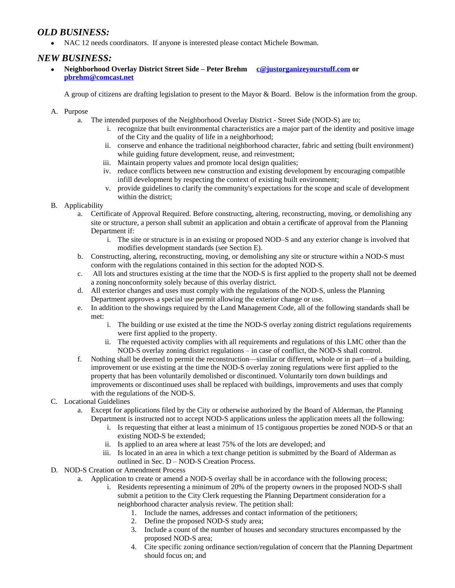#### *OLD BUSINESS:*

NAC 12 needs coordinators. If anyone is interested please contact Michele Bowman.

#### *NEW BUSINESS:*

 **Neighborhood Overlay District Street Side – Peter Brehm [c@justorganizeyourstuff.com](mailto:c@justorganizeyourstuff.com) or [pbrehm@comcast.net](mailto:pbrehm@comcast.net)**

A group of citizens are drafting legislation to present to the Mayor & Board. Below is the information from the group.

- A. Purpose
	- a. The intended purposes of the Neighborhood Overlay District Street Side (NOD-S) are to;
		- i. recognize that built environmental characteristics are a major part of the identity and positive image of the City and the quality of life in a neighborhood;
		- ii. conserve and enhance the traditional neighborhood character, fabric and setting (built environment) while guiding future development, reuse, and reinvestment;
		- iii. Maintain property values and promote local design qualities;
		- iv. reduce conflicts between new construction and existing development by encouraging compatible infill development by respecting the context of existing built environment;
		- v. provide guidelines to clarify the community's expectations for the scope and scale of development within the district;
- B. Applicability
	- a. Certificate of Approval Required. Before constructing, altering, reconstructing, moving, or demolishing any site or structure, a person shall submit an application and obtain a certificate of approval from the Planning Department if:
		- i. The site or structure is in an existing or proposed NOD–S and any exterior change is involved that modifies development standards (see Section E).
	- b. Constructing, altering, reconstructing, moving, or demolishing any site or structure within a NOD-S must conform with the regulations contained in this section for the adopted NOD-S.
	- c. All lots and structures existing at the time that the NOD-S is first applied to the property shall not be deemed a zoning nonconformity solely because of this overlay district.
	- d. All exterior changes and uses must comply with the regulations of the NOD-S, unless the Planning Department approves a special use permit allowing the exterior change or use.
	- e. In addition to the showings required by the Land Management Code, all of the following standards shall be met:
		- i. The building or use existed at the time the NOD-S overlay zoning district regulations requirements were first applied to the property.
		- ii. The requested activity complies with all requirements and regulations of this LMC other than the NOD-S overlay zoning district regulations – in case of conflict, the NOD-S shall control.
	- f. Nothing shall be deemed to permit the reconstruction—similar or different, whole or in part—of a building, improvement or use existing at the time the NOD-S overlay zoning regulations were first applied to the property that has been voluntarily demolished or discontinued. Voluntarily torn down buildings and improvements or discontinued uses shall be replaced with buildings, improvements and uses that comply with the regulations of the NOD-S.
- C. Locational Guidelines
	- a. Except for applications filed by the City or otherwise authorized by the Board of Alderman, the Planning Department is instructed not to accept NOD-S applications unless the application meets all the following:
		- i. Is requesting that either at least a minimum of 15 contiguous properties be zoned NOD-S or that an existing NOD-S be extended;
		- ii. Is applied to an area where at least 75% of the lots are developed; and
		- iii. Is located in an area in which a text change petition is submitted by the Board of Alderman as outlined in Sec. D – NOD-S Creation Process.
- D. NOD-S Creation or Amendment Process
	- a. Application to create or amend a NOD-S overlay shall be in accordance with the following process;
		- i. Residents representing a minimum of 20% of the property owners in the proposed NOD-S shall submit a petition to the City Clerk requesting the Planning Department consideration for a neighborhood character analysis review. The petition shall:
			- 1. Include the names, addresses and contact information of the petitioners;
			- 2. Define the proposed NOD-S study area;
			- 3. Include a count of the number of houses and secondary structures encompassed by the proposed NOD-S area;
			- 4. Cite specific zoning ordinance section/regulation of concern that the Planning Department should focus on; and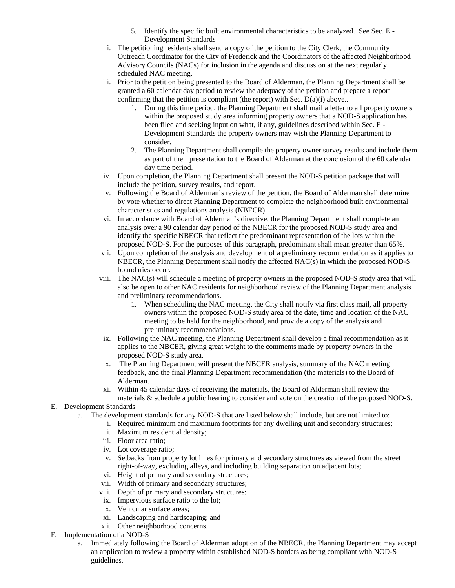- 5. Identify the specific built environmental characteristics to be analyzed. See Sec. E Development Standards
- ii. The petitioning residents shall send a copy of the petition to the City Clerk, the Community Outreach Coordinator for the City of Frederick and the Coordinators of the affected Neighborhood Advisory Councils (NACs) for inclusion in the agenda and discussion at the next regularly scheduled NAC meeting.
- iii. Prior to the petition being presented to the Board of Alderman, the Planning Department shall be granted a 60 calendar day period to review the adequacy of the petition and prepare a report confirming that the petition is compliant (the report) with Sec. D(a)(i) above..
	- 1. During this time period, the Planning Department shall mail a letter to all property owners within the proposed study area informing property owners that a NOD-S application has been filed and seeking input on what, if any, guidelines described within Sec. E - Development Standards the property owners may wish the Planning Department to consider.
	- 2. The Planning Department shall compile the property owner survey results and include them as part of their presentation to the Board of Alderman at the conclusion of the 60 calendar day time period.
- iv. Upon completion, the Planning Department shall present the NOD-S petition package that will include the petition, survey results, and report.
- v. Following the Board of Alderman's review of the petition, the Board of Alderman shall determine by vote whether to direct Planning Department to complete the neighborhood built environmental characteristics and regulations analysis (NBECR).
- vi. In accordance with Board of Alderman's directive, the Planning Department shall complete an analysis over a 90 calendar day period of the NBECR for the proposed NOD-S study area and identify the specific NBECR that reflect the predominant representation of the lots within the proposed NOD-S. For the purposes of this paragraph, predominant shall mean greater than 65%.
- vii. Upon completion of the analysis and development of a preliminary recommendation as it applies to NBECR, the Planning Department shall notify the affected NAC(s) in which the proposed NOD-S boundaries occur.
- viii. The NAC(s) will schedule a meeting of property owners in the proposed NOD-S study area that will also be open to other NAC residents for neighborhood review of the Planning Department analysis and preliminary recommendations.
	- 1. When scheduling the NAC meeting, the City shall notify via first class mail, all property owners within the proposed NOD-S study area of the date, time and location of the NAC meeting to be held for the neighborhood, and provide a copy of the analysis and preliminary recommendations.
- ix. Following the NAC meeting, the Planning Department shall develop a final recommendation as it applies to the NBCER, giving great weight to the comments made by property owners in the proposed NOD-S study area.
- x. The Planning Department will present the NBCER analysis, summary of the NAC meeting feedback, and the final Planning Department recommendation (the materials) to the Board of Alderman.
- xi. Within 45 calendar days of receiving the materials, the Board of Alderman shall review the materials & schedule a public hearing to consider and vote on the creation of the proposed NOD-S.
- E. Development Standards
	- a. The development standards for any NOD-S that are listed below shall include, but are not limited to:
		- i. Required minimum and maximum footprints for any dwelling unit and secondary structures;
			- ii. Maximum residential density;
			- iii. Floor area ratio;
			- iv. Lot coverage ratio;
			- v. Setbacks from property lot lines for primary and secondary structures as viewed from the street right-of-way, excluding alleys, and including building separation on adjacent lots;
			- vi. Height of primary and secondary structures;
			- vii. Width of primary and secondary structures;
		- viii. Depth of primary and secondary structures;
		- ix. Impervious surface ratio to the lot;
		- x. Vehicular surface areas;
		- xi. Landscaping and hardscaping; and
		- xii. Other neighborhood concerns.
- F. Implementation of a NOD-S
	- a. Immediately following the Board of Alderman adoption of the NBECR, the Planning Department may accept an application to review a property within established NOD-S borders as being compliant with NOD-S guidelines.